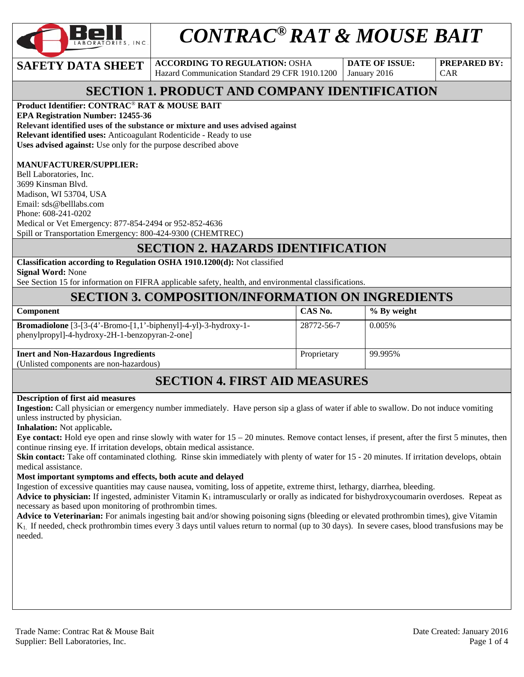

# *CONTRAC® RAT & MOUSE BAIT*

**SAFETY DATA SHEET ACCORDING TO REGULATION: OSHA** Hazard Communication Standard 29 CFR 1910.1200

**DATE OF ISSUE:**  January 2016

**PREPARED BY:**  CAR

# **SECTION 1. PRODUCT AND COMPANY IDENTIFICATION**

**Product Identifier: CONTRAC**® **RAT & MOUSE BAIT** 

**EPA Registration Number: 12455-36 Relevant identified uses of the substance or mixture and uses advised against Relevant identified uses:** Anticoagulant Rodenticide - Ready to use **Uses advised against:** Use only for the purpose described above

#### **MANUFACTURER/SUPPLIER:**

Bell Laboratories, Inc. 3699 Kinsman Blvd. Madison, WI 53704, USA Email: sds@belllabs.com Phone: 608-241-0202 Medical or Vet Emergency: 877-854-2494 or 952-852-4636 Spill or Transportation Emergency: 800-424-9300 (CHEMTREC)

### **SECTION 2. HAZARDS IDENTIFICATION**

**Classification according to Regulation OSHA 1910.1200(d):** Not classified **Signal Word:** None

See Section 15 for information on FIFRA applicable safety, health, and environmental classifications.

# **SECTION 3. COMPOSITION/INFORMATION ON INGREDIENTS**

| <b>Component</b>                                                                                                        | CAS No.     | % By weight |
|-------------------------------------------------------------------------------------------------------------------------|-------------|-------------|
| <b>Bromadiolone</b> $[3-(4'-Bromo-[1,1'-bipheny]]-4-y]$ -3-hydroxy-1-<br>phenylpropyl]-4-hydroxy-2H-1-benzopyran-2-one] | 28772-56-7  | 0.005%      |
| <b>Inert and Non-Hazardous Ingredients</b>                                                                              | Proprietary | 99.995%     |
| (Unlisted components are non-hazardous)                                                                                 |             |             |

# **SECTION 4. FIRST AID MEASURES**

#### **Description of first aid measures**

**Ingestion:** Call physician or emergency number immediately. Have person sip a glass of water if able to swallow. Do not induce vomiting unless instructed by physician.

**Inhalation:** Not applicable**.** 

**Eye contact:** Hold eye open and rinse slowly with water for 15 – 20 minutes. Remove contact lenses, if present, after the first 5 minutes, then continue rinsing eye. If irritation develops, obtain medical assistance.

**Skin contact:** Take off contaminated clothing. Rinse skin immediately with plenty of water for 15 - 20 minutes. If irritation develops, obtain medical assistance.

#### **Most important symptoms and effects, both acute and delayed**

Ingestion of excessive quantities may cause nausea, vomiting, loss of appetite, extreme thirst, lethargy, diarrhea, bleeding.

Advice to physician: If ingested, administer Vitamin K<sub>1</sub> intramuscularly or orally as indicated for bishydroxycoumarin overdoses. Repeat as necessary as based upon monitoring of prothrombin times.

**Advice to Veterinarian:** For animals ingesting bait and/or showing poisoning signs (bleeding or elevated prothrombin times), give Vitamin K1. If needed, check prothrombin times every 3 days until values return to normal (up to 30 days). In severe cases, blood transfusions may be needed.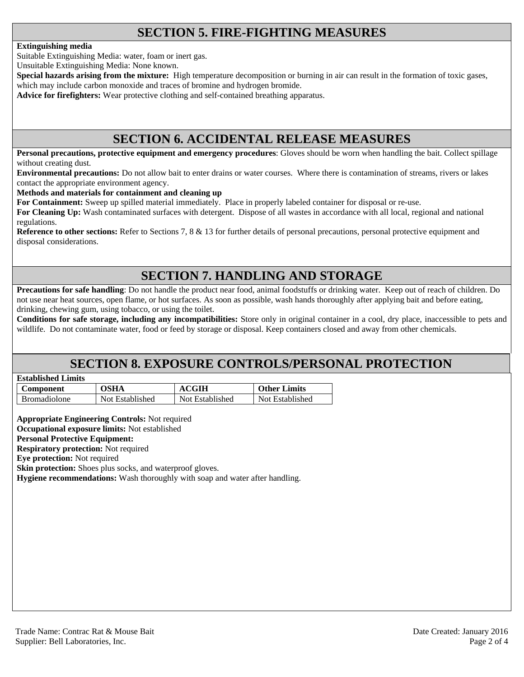# **SECTION 5. FIRE-FIGHTING MEASURES**

#### **Extinguishing media**

Suitable Extinguishing Media: water, foam or inert gas.

Unsuitable Extinguishing Media: None known.

**Special hazards arising from the mixture:** High temperature decomposition or burning in air can result in the formation of toxic gases, which may include carbon monoxide and traces of bromine and hydrogen bromide.

**Advice for firefighters:** Wear protective clothing and self-contained breathing apparatus.

### **SECTION 6. ACCIDENTAL RELEASE MEASURES**

**Personal precautions, protective equipment and emergency procedures**: Gloves should be worn when handling the bait. Collect spillage without creating dust.

**Environmental precautions:** Do not allow bait to enter drains or water courses. Where there is contamination of streams, rivers or lakes contact the appropriate environment agency.

**Methods and materials for containment and cleaning up**

**For Containment:** Sweep up spilled material immediately. Place in properly labeled container for disposal or re-use.

**For Cleaning Up:** Wash contaminated surfaces with detergent. Dispose of all wastes in accordance with all local, regional and national regulations.

**Reference to other sections:** Refer to Sections 7, 8 & 13 for further details of personal precautions, personal protective equipment and disposal considerations.

# **SECTION 7. HANDLING AND STORAGE**

**Precautions for safe handling**: Do not handle the product near food, animal foodstuffs or drinking water. Keep out of reach of children. Do not use near heat sources, open flame, or hot surfaces. As soon as possible, wash hands thoroughly after applying bait and before eating, drinking, chewing gum, using tobacco, or using the toilet.

**Conditions for safe storage, including any incompatibilities:** Store only in original container in a cool, dry place, inaccessible to pets and wildlife. Do not contaminate water, food or feed by storage or disposal. Keep containers closed and away from other chemicals.

### **SECTION 8. EXPOSURE CONTROLS/PERSONAL PROTECTION**

| <b>Established Limits</b> |  |
|---------------------------|--|
|                           |  |

| Component           | <b>OSHA</b>     | <b>ACGIH</b>    | <b>Other Limits</b> |
|---------------------|-----------------|-----------------|---------------------|
| <b>Bromadiolone</b> | Not Established | Not Established | Not Established     |

**Appropriate Engineering Controls:** Not required

**Occupational exposure limits:** Not established

**Personal Protective Equipment:** 

**Respiratory protection:** Not required

**Eye protection:** Not required

**Skin protection:** Shoes plus socks, and waterproof gloves.

**Hygiene recommendations:** Wash thoroughly with soap and water after handling.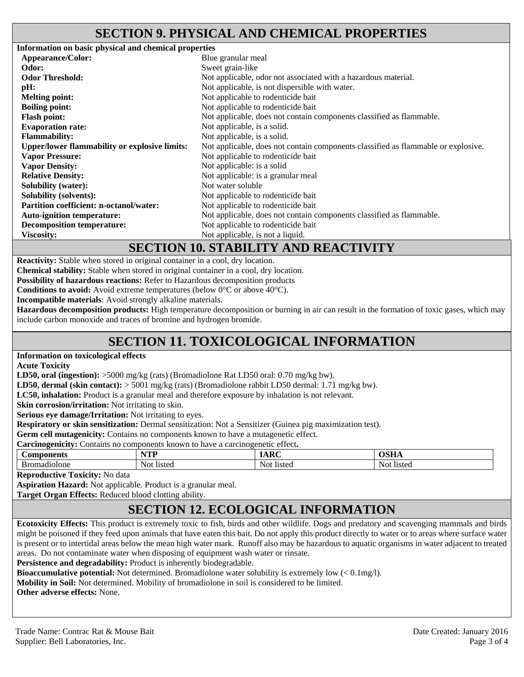### **SECTION 9. PHYSICAL AND CHEMICAL PROPERTIES**

| Information on basic physical and chemical properties |                                                                                                                                           |
|-------------------------------------------------------|-------------------------------------------------------------------------------------------------------------------------------------------|
| Appearance/Color:                                     | Blue granular meal                                                                                                                        |
| Odor:                                                 | Sweet grain-like                                                                                                                          |
| <b>Odor Threshold:</b>                                | Not applicable, odor not associated with a hazardous material.                                                                            |
| $\mathbf{p}$ H:                                       | Not applicable, is not dispersible with water.                                                                                            |
| <b>Melting point:</b>                                 | Not applicable to rodenticide bait                                                                                                        |
| <b>Boiling point:</b>                                 | Not applicable to rodenticide bait                                                                                                        |
| <b>Flash point:</b>                                   | Not applicable, does not contain components classified as flammable.                                                                      |
| <b>Evaporation rate:</b>                              | Not applicable, is a solid.                                                                                                               |
| <b>Flammability:</b>                                  | Not applicable, is a solid.                                                                                                               |
| <b>Upper/lower flammability or explosive limits:</b>  | Not applicable, does not contain components classified as flammable or explosive.                                                         |
| <b>Vapor Pressure:</b>                                | Not applicable to rodenticide bait                                                                                                        |
| <b>Vapor Density:</b>                                 | Not applicable: is a solid                                                                                                                |
| <b>Relative Density:</b>                              | Not applicable: is a granular meal                                                                                                        |
| <b>Solubility (water):</b>                            | Not water soluble                                                                                                                         |
| <b>Solubility (solvents):</b>                         | Not applicable to rodenticide bait                                                                                                        |
| <b>Partition coefficient: n-octanol/water:</b>        | Not applicable to rodenticide bait                                                                                                        |
| <b>Auto-ignition temperature:</b>                     | Not applicable, does not contain components classified as flammable.                                                                      |
| <b>Decomposition temperature:</b>                     | Not applicable to rodenticide bait                                                                                                        |
| <b>Viscosity:</b>                                     | Not applicable, is not a liquid.                                                                                                          |
|                                                       | $\alpha$ or $\alpha$ and $\alpha$ and $\alpha$ and $\alpha$ and $\alpha$ and $\alpha$ and $\alpha$ and $\alpha$ and $\alpha$ and $\alpha$ |

#### **SECTION 10. STABILITY AND REACTIVITY**

**Reactivity:** Stable when stored in original container in a cool, dry location.

**Chemical stability:** Stable when stored in original container in a cool, dry location.

**Possibility of hazardous reactions:** Refer to Hazardous decomposition products

**Conditions to avoid:** Avoid extreme temperatures (below 0°C or above 40°C).

**Incompatible materials**: Avoid strongly alkaline materials.

**Hazardous decomposition products:** High temperature decomposition or burning in air can result in the formation of toxic gases, which may include carbon monoxide and traces of bromine and hydrogen bromide.

# **SECTION 11. TOXICOLOGICAL INFORMATION**

#### **Information on toxicological effects**

**Acute Toxicity** 

**LD50, oral (ingestion):** >5000 mg/kg (rats) (Bromadiolone Rat LD50 oral: 0.70 mg/kg bw).

**LD50, dermal (skin contact):** > 5001 mg/kg (rats) (Bromadiolone rabbit LD50 dermal: 1.71 mg/kg bw).

**LC50, inhalation:** Product is a granular meal and therefore exposure by inhalation is not relevant.

**Skin corrosion/irritation:** Not irritating to skin.

**Serious eye damage/Irritation:** Not irritating to eyes.

**Respiratory or skin sensitization:** Dermal sensitization: Not a Sensitizer (Guinea pig maximization test).

Germ cell mutagenicity: Contains no components known to have a mutagenetic effect.

**Carcinogenicity:** Contains no components known to have a carcinogenetic effect**.** 

| oonents<br>∠om                      | VTD                   | $\mathbf{r}$          | $\sim$ $\sim$ $\sim$ |
|-------------------------------------|-----------------------|-----------------------|----------------------|
| 11010ne<br>-Br⁄<br>30.<br>Ή<br>17 L | Not.<br><b>listed</b> | Not.<br><b>listed</b> | 11sted<br>N∩t        |

**Reproductive Toxicity:** No data

**Aspiration Hazard:** Not applicable. Product is a granular meal.

**Target Organ Effects:** Reduced blood clotting ability.

# **SECTION 12. ECOLOGICAL INFORMATION**

**Ecotoxicity Effects:** This product is extremely toxic to fish, birds and other wildlife. Dogs and predatory and scavenging mammals and birds might be poisoned if they feed upon animals that have eaten this bait. Do not apply this product directly to water or to areas where surface water is present or to intertidal areas below the mean high water mark. Runoff also may be hazardous to aquatic organisms in water adjacent to treated areas. Do not contaminate water when disposing of equipment wash water or rinsate.

Persistence and degradability: Product is inherently biodegradable.

**Bioaccumulative potential:** Not determined. Bromadiolone water solubility is extremely low (< 0.1mg/l).

**Mobility in Soil:** Not determined. Mobility of bromadiolone in soil is considered to be limited.

**Other adverse effects:** None.